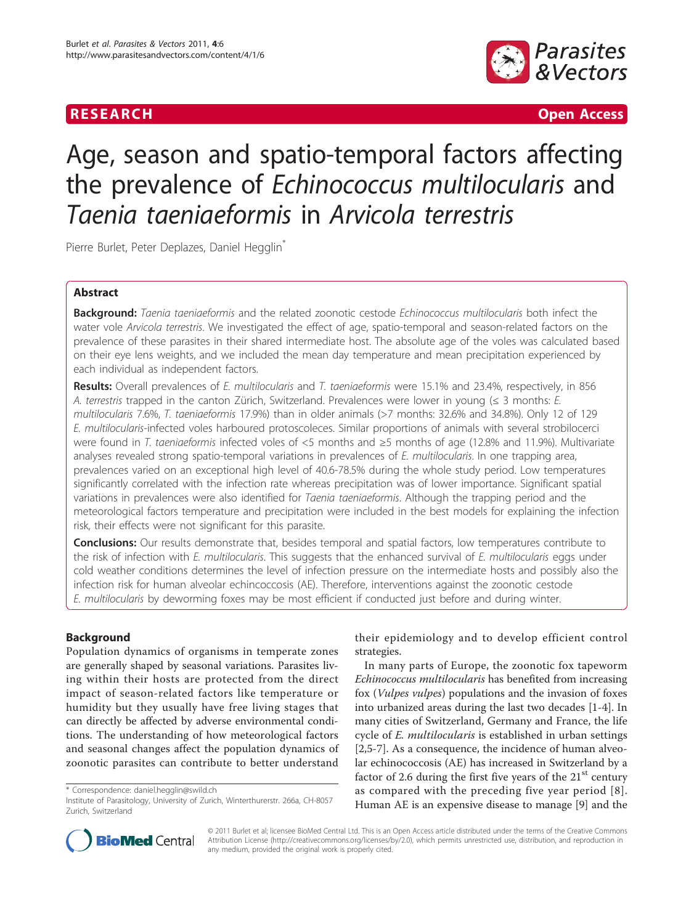

**RESEARCH Open Access** 

# Age, season and spatio-temporal factors affecting the prevalence of Echinococcus multilocularis and Taenia taeniaeformis in Arvicola terrestris

Pierre Burlet, Peter Deplazes, Daniel Hegglin<sup>\*</sup>

# Abstract

Background: Taenia taeniaeformis and the related zoonotic cestode Echinococcus multilocularis both infect the water vole Arvicola terrestris. We investigated the effect of age, spatio-temporal and season-related factors on the prevalence of these parasites in their shared intermediate host. The absolute age of the voles was calculated based on their eye lens weights, and we included the mean day temperature and mean precipitation experienced by each individual as independent factors.

Results: Overall prevalences of E. multilocularis and T. taeniaeformis were 15.1% and 23.4%, respectively, in 856 A. terrestris trapped in the canton Zürich, Switzerland. Prevalences were lower in young ( $\leq$  3 months: E. multilocularis 7.6%, T. taeniaeformis 17.9%) than in older animals (>7 months: 32.6% and 34.8%). Only 12 of 129 E. multilocularis-infected voles harboured protoscoleces. Similar proportions of animals with several strobilocerci were found in T. taeniaeformis infected voles of <5 months and ≥5 months of age (12.8% and 11.9%). Multivariate analyses revealed strong spatio-temporal variations in prevalences of E. multilocularis. In one trapping area, prevalences varied on an exceptional high level of 40.6-78.5% during the whole study period. Low temperatures significantly correlated with the infection rate whereas precipitation was of lower importance. Significant spatial variations in prevalences were also identified for Taenia taeniaeformis. Although the trapping period and the meteorological factors temperature and precipitation were included in the best models for explaining the infection risk, their effects were not significant for this parasite.

**Conclusions:** Our results demonstrate that, besides temporal and spatial factors, low temperatures contribute to the risk of infection with E. multilocularis. This suggests that the enhanced survival of E. multilocularis eggs under cold weather conditions determines the level of infection pressure on the intermediate hosts and possibly also the infection risk for human alveolar echincoccosis (AE). Therefore, interventions against the zoonotic cestode E. multilocularis by deworming foxes may be most efficient if conducted just before and during winter.

# Background

Population dynamics of organisms in temperate zones are generally shaped by seasonal variations. Parasites living within their hosts are protected from the direct impact of season-related factors like temperature or humidity but they usually have free living stages that can directly be affected by adverse environmental conditions. The understanding of how meteorological factors and seasonal changes affect the population dynamics of zoonotic parasites can contribute to better understand

their epidemiology and to develop efficient control strategies.

In many parts of Europe, the zoonotic fox tapeworm Echinococcus multilocularis has benefited from increasing fox (Vulpes vulpes) populations and the invasion of foxes into urbanized areas during the last two decades [\[1](#page-7-0)-[4\]](#page-7-0). In many cities of Switzerland, Germany and France, the life cycle of E. multilocularis is established in urban settings [[2,5-7](#page-7-0)]. As a consequence, the incidence of human alveolar echinococcosis (AE) has increased in Switzerland by a factor of 2.6 during the first five years of the  $21<sup>st</sup>$  century as compared with the preceding five year period [[8\]](#page-7-0). Human AE is an expensive disease to manage [\[9\]](#page-7-0) and the



© 2011 Burlet et al; licensee BioMed Central Ltd. This is an Open Access article distributed under the terms of the Creative Commons Attribution License [\(http://creativecommons.org/licenses/by/2.0](http://creativecommons.org/licenses/by/2.0)), which permits unrestricted use, distribution, and reproduction in any medium, provided the original work is properly cited.

<sup>\*</sup> Correspondence: [daniel.hegglin@swild.ch](mailto:daniel.hegglin@swild.ch)

Institute of Parasitology, University of Zurich, Winterthurerstr. 266a, CH-8057 Zurich, Switzerland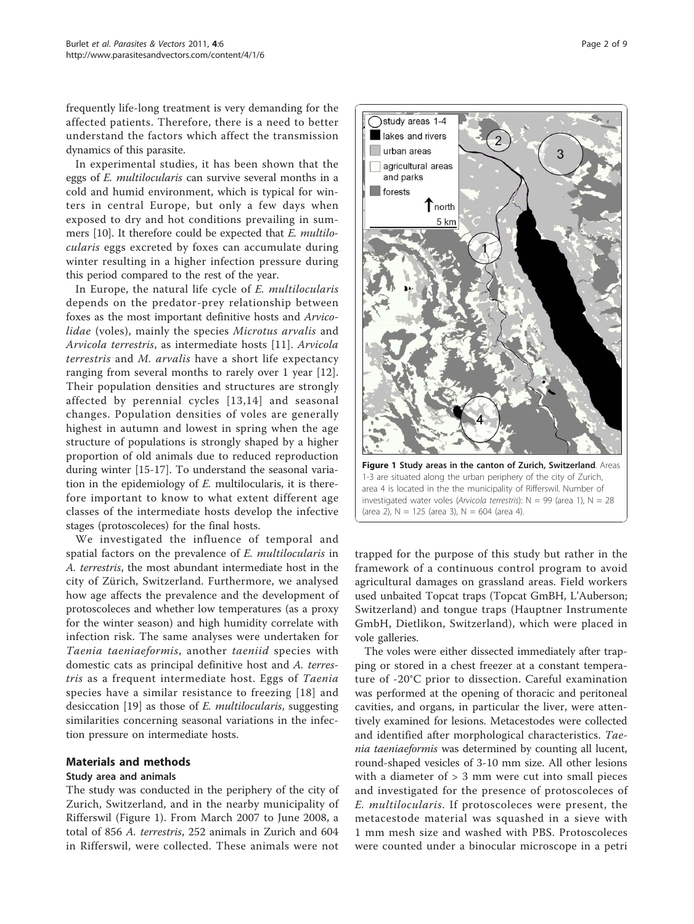<span id="page-1-0"></span>frequently life-long treatment is very demanding for the affected patients. Therefore, there is a need to better understand the factors which affect the transmission dynamics of this parasite.

In experimental studies, it has been shown that the eggs of E. multilocularis can survive several months in a cold and humid environment, which is typical for winters in central Europe, but only a few days when exposed to dry and hot conditions prevailing in summers [[10\]](#page-7-0). It therefore could be expected that E. multilocularis eggs excreted by foxes can accumulate during winter resulting in a higher infection pressure during this period compared to the rest of the year.

In Europe, the natural life cycle of E. multilocularis depends on the predator-prey relationship between foxes as the most important definitive hosts and Arvicolidae (voles), mainly the species Microtus arvalis and Arvicola terrestris, as intermediate hosts [[11](#page-7-0)]. Arvicola terrestris and M. arvalis have a short life expectancy ranging from several months to rarely over 1 year [[12](#page-7-0)]. Their population densities and structures are strongly affected by perennial cycles [[13,14](#page-7-0)] and seasonal changes. Population densities of voles are generally highest in autumn and lowest in spring when the age structure of populations is strongly shaped by a higher proportion of old animals due to reduced reproduction during winter [\[15-17](#page-7-0)]. To understand the seasonal variation in the epidemiology of  $E$ . multilocularis, it is therefore important to know to what extent different age classes of the intermediate hosts develop the infective stages (protoscoleces) for the final hosts.

We investigated the influence of temporal and spatial factors on the prevalence of E. *multilocularis* in A. terrestris, the most abundant intermediate host in the city of Zürich, Switzerland. Furthermore, we analysed how age affects the prevalence and the development of protoscoleces and whether low temperatures (as a proxy for the winter season) and high humidity correlate with infection risk. The same analyses were undertaken for Taenia taeniaeformis, another taeniid species with domestic cats as principal definitive host and A. terrestris as a frequent intermediate host. Eggs of Taenia species have a similar resistance to freezing [\[18\]](#page-7-0) and desiccation [[19\]](#page-7-0) as those of E. multilocularis, suggesting similarities concerning seasonal variations in the infection pressure on intermediate hosts.

#### Materials and methods

# Study area and animals

The study was conducted in the periphery of the city of Zurich, Switzerland, and in the nearby municipality of Rifferswil (Figure 1). From March 2007 to June 2008, a total of 856 A. terrestris, 252 animals in Zurich and 604 in Rifferswil, were collected. These animals were not



trapped for the purpose of this study but rather in the framework of a continuous control program to avoid agricultural damages on grassland areas. Field workers used unbaited Topcat traps (Topcat GmBH, L'Auberson; Switzerland) and tongue traps (Hauptner Instrumente GmbH, Dietlikon, Switzerland), which were placed in vole galleries.

The voles were either dissected immediately after trapping or stored in a chest freezer at a constant temperature of -20°C prior to dissection. Careful examination was performed at the opening of thoracic and peritoneal cavities, and organs, in particular the liver, were attentively examined for lesions. Metacestodes were collected and identified after morphological characteristics. Taenia taeniaeformis was determined by counting all lucent, round-shaped vesicles of 3-10 mm size. All other lesions with a diameter of > 3 mm were cut into small pieces and investigated for the presence of protoscoleces of E. multilocularis. If protoscoleces were present, the metacestode material was squashed in a sieve with 1 mm mesh size and washed with PBS. Protoscoleces were counted under a binocular microscope in a petri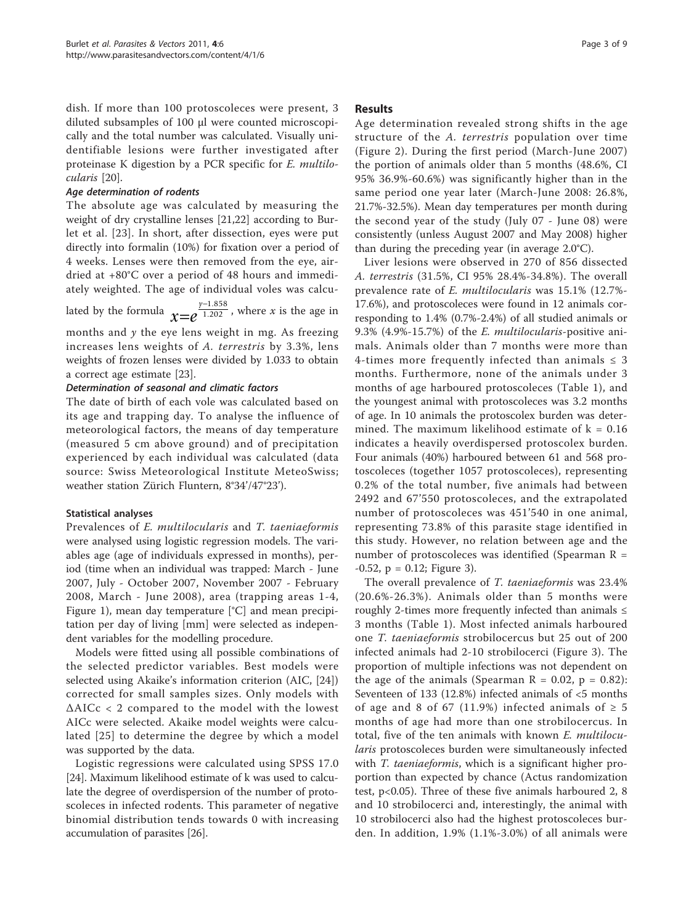dish. If more than 100 protoscoleces were present, 3 diluted subsamples of 100 μl were counted microscopically and the total number was calculated. Visually unidentifiable lesions were further investigated after proteinase K digestion by a PCR specific for E. multilocularis [\[20](#page-7-0)].

#### Age determination of rodents

The absolute age was calculated by measuring the weight of dry crystalline lenses [[21](#page-7-0),[22](#page-7-0)] according to Burlet et al. [[23\]](#page-7-0). In short, after dissection, eyes were put directly into formalin (10%) for fixation over a period of 4 weeks. Lenses were then removed from the eye, airdried at +80°C over a period of 48 hours and immediately weighted. The age of individual voles was calculated by the formula  $x=e^{\frac{\gamma-1.858}{1.202}}$  $\frac{1.858}{.202}$ , where x is the age in months and  $y$  the eye lens weight in mg. As freezing

increases lens weights of A. terrestris by 3.3%, lens weights of frozen lenses were divided by 1.033 to obtain a correct age estimate [\[23\]](#page-7-0).

# Determination of seasonal and climatic factors

The date of birth of each vole was calculated based on its age and trapping day. To analyse the influence of meteorological factors, the means of day temperature (measured 5 cm above ground) and of precipitation experienced by each individual was calculated (data source: Swiss Meteorological Institute MeteoSwiss; weather station Zürich Fluntern, 8°34'/47°23').

# Statistical analyses

Prevalences of E. multilocularis and T. taeniaeformis were analysed using logistic regression models. The variables age (age of individuals expressed in months), period (time when an individual was trapped: March - June 2007, July - October 2007, November 2007 - February 2008, March - June 2008), area (trapping areas 1-4, Figure [1\)](#page-1-0), mean day temperature [°C] and mean precipitation per day of living [mm] were selected as independent variables for the modelling procedure.

Models were fitted using all possible combinations of the selected predictor variables. Best models were selected using Akaike's information criterion (AIC, [\[24](#page-7-0)]) corrected for small samples sizes. Only models with ΔAICc < 2 compared to the model with the lowest AICc were selected. Akaike model weights were calculated [[25](#page-7-0)] to determine the degree by which a model was supported by the data.

Logistic regressions were calculated using SPSS 17.0 [[24](#page-7-0)]. Maximum likelihood estimate of k was used to calculate the degree of overdispersion of the number of protoscoleces in infected rodents. This parameter of negative binomial distribution tends towards 0 with increasing accumulation of parasites [[26](#page-8-0)].

#### Results

Age determination revealed strong shifts in the age structure of the A. terrestris population over time (Figure [2](#page-3-0)). During the first period (March-June 2007) the portion of animals older than 5 months (48.6%, CI 95% 36.9%-60.6%) was significantly higher than in the same period one year later (March-June 2008: 26.8%, 21.7%-32.5%). Mean day temperatures per month during the second year of the study (July 07 - June 08) were consistently (unless August 2007 and May 2008) higher than during the preceding year (in average 2.0°C).

Liver lesions were observed in 270 of 856 dissected A. terrestris (31.5%, CI 95% 28.4%-34.8%). The overall prevalence rate of E. multilocularis was 15.1% (12.7%- 17.6%), and protoscoleces were found in 12 animals corresponding to 1.4% (0.7%-2.4%) of all studied animals or 9.3% (4.9%-15.7%) of the E. multilocularis-positive animals. Animals older than 7 months were more than 4-times more frequently infected than animals  $\leq$  3 months. Furthermore, none of the animals under 3 months of age harboured protoscoleces (Table [1](#page-3-0)), and the youngest animal with protoscoleces was 3.2 months of age. In 10 animals the protoscolex burden was determined. The maximum likelihood estimate of  $k = 0.16$ indicates a heavily overdispersed protoscolex burden. Four animals (40%) harboured between 61 and 568 protoscoleces (together 1057 protoscoleces), representing 0.2% of the total number, five animals had between 2492 and 67'550 protoscoleces, and the extrapolated number of protoscoleces was 451'540 in one animal, representing 73.8% of this parasite stage identified in this study. However, no relation between age and the number of protoscoleces was identified (Spearman R =  $-0.52$ ,  $p = 0.12$ ; Figure [3\)](#page-4-0).

The overall prevalence of T. taeniaeformis was 23.4% (20.6%-26.3%). Animals older than 5 months were roughly 2-times more frequently infected than animals ≤ 3 months (Table [1](#page-3-0)). Most infected animals harboured one T. taeniaeformis strobilocercus but 25 out of 200 infected animals had 2-10 strobilocerci (Figure [3\)](#page-4-0). The proportion of multiple infections was not dependent on the age of the animals (Spearman  $R = 0.02$ ,  $p = 0.82$ ): Seventeen of 133 (12.8%) infected animals of <5 months of age and 8 of 67 (11.9%) infected animals of  $\geq$  5 months of age had more than one strobilocercus. In total, five of the ten animals with known E. multilocularis protoscoleces burden were simultaneously infected with *T. taeniaeformis*, which is a significant higher proportion than expected by chance (Actus randomization test, p<0.05). Three of these five animals harboured 2, 8 and 10 strobilocerci and, interestingly, the animal with 10 strobilocerci also had the highest protoscoleces burden. In addition, 1.9% (1.1%-3.0%) of all animals were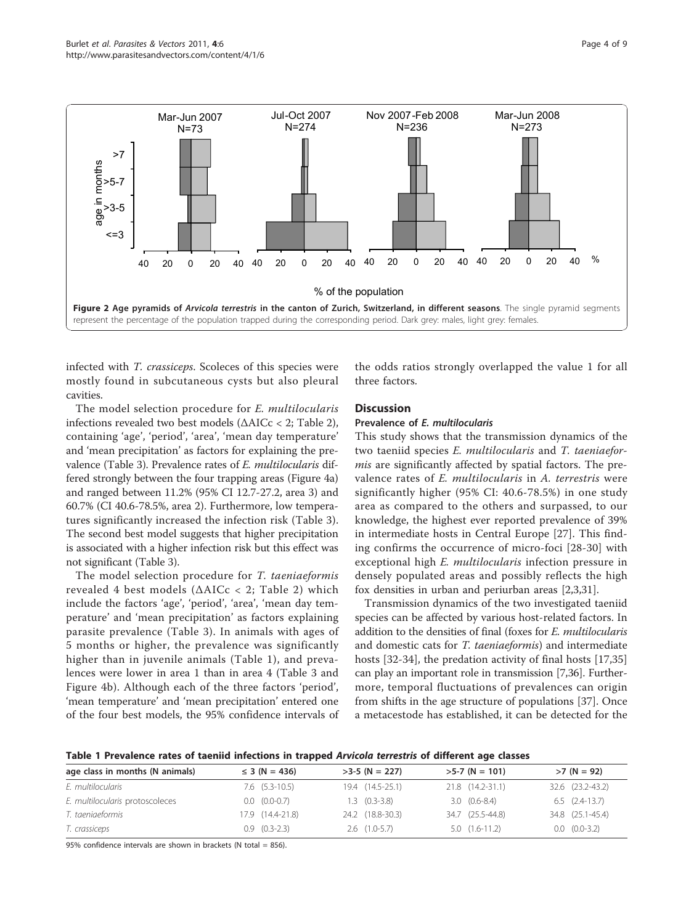<span id="page-3-0"></span>

infected with T. crassiceps. Scoleces of this species were mostly found in subcutaneous cysts but also pleural cavities.

The model selection procedure for E. multilocularis infections revealed two best models (ΔAICc < 2; Table [2](#page-4-0)), containing 'age', 'period', 'area', 'mean day temperature' and 'mean precipitation' as factors for explaining the prevalence (Table [3](#page-5-0)). Prevalence rates of E. multilocularis differed strongly between the four trapping areas (Figure [4a](#page-6-0)) and ranged between 11.2% (95% CI 12.7-27.2, area 3) and 60.7% (CI 40.6-78.5%, area 2). Furthermore, low temperatures significantly increased the infection risk (Table [3](#page-5-0)). The second best model suggests that higher precipitation is associated with a higher infection risk but this effect was not significant (Table [3](#page-5-0)).

The model selection procedure for T. taeniaeformis revealed 4 best models (ΔAICc < 2; Table [2](#page-4-0)) which include the factors 'age', 'period', 'area', 'mean day temperature' and 'mean precipitation' as factors explaining parasite prevalence (Table [3](#page-5-0)). In animals with ages of 5 months or higher, the prevalence was significantly higher than in juvenile animals (Table 1), and prevalences were lower in area 1 than in area 4 (Table [3](#page-5-0) and Figure [4b](#page-6-0)). Although each of the three factors 'period', 'mean temperature' and 'mean precipitation' entered one of the four best models, the 95% confidence intervals of

the odds ratios strongly overlapped the value 1 for all three factors.

# **Discussion**

#### Prevalence of E. multilocularis

This study shows that the transmission dynamics of the two taeniid species E. multilocularis and T. taeniaeformis are significantly affected by spatial factors. The prevalence rates of E. multilocularis in A. terrestris were significantly higher (95% CI: 40.6-78.5%) in one study area as compared to the others and surpassed, to our knowledge, the highest ever reported prevalence of 39% in intermediate hosts in Central Europe [\[27](#page-8-0)]. This finding confirms the occurrence of micro-foci [[28-30\]](#page-8-0) with exceptional high E. multilocularis infection pressure in densely populated areas and possibly reflects the high fox densities in urban and periurban areas [\[2,3](#page-7-0)[,31\]](#page-8-0).

Transmission dynamics of the two investigated taeniid species can be affected by various host-related factors. In addition to the densities of final (foxes for E. multilocularis and domestic cats for T. taeniaeformis) and intermediate hosts [\[32](#page-8-0)-[34](#page-8-0)], the predation activity of final hosts [[17](#page-7-0),[35](#page-8-0)] can play an important role in transmission [[7](#page-7-0),[36](#page-8-0)]. Furthermore, temporal fluctuations of prevalences can origin from shifts in the age structure of populations [[37\]](#page-8-0). Once a metacestode has established, it can be detected for the

Table 1 Prevalence rates of taeniid infections in trapped Arvicola terrestris of different age classes

| age class in months (N animals) | $\leq$ 3 (N = 436)    | $>3-5$ (N = 227)  | $>5-7$ (N = 101) | $>7 (N = 92)$         |  |  |
|---------------------------------|-----------------------|-------------------|------------------|-----------------------|--|--|
| E. multilocularis               | $7.6$ $(5.3-10.5)$    | 19.4 (14.5-25.1)  | 21.8 (14.2-31.1) | 32.6 (23.2-43.2)      |  |  |
| E. multilocularis protoscoleces | $0.0 \quad (0.0-0.7)$ | $1.3$ $(0.3-3.8)$ | $3.0(0.6-8.4)$   | $6.5$ $(2.4-13.7)$    |  |  |
| T. taeniaeformis                | 17.9 (14.4-21.8)      | 24.2 (18.8-30.3)  | 34.7 (25.5-44.8) | 34.8 (25.1-45.4)      |  |  |
| T. crassiceps                   | $0.9$ $(0.3-2.3)$     | $2.6$ $(1.0-5.7)$ | $5.0(1.6-11.2)$  | $0.0 \quad (0.0-3.2)$ |  |  |

95% confidence intervals are shown in brackets (N total = 856).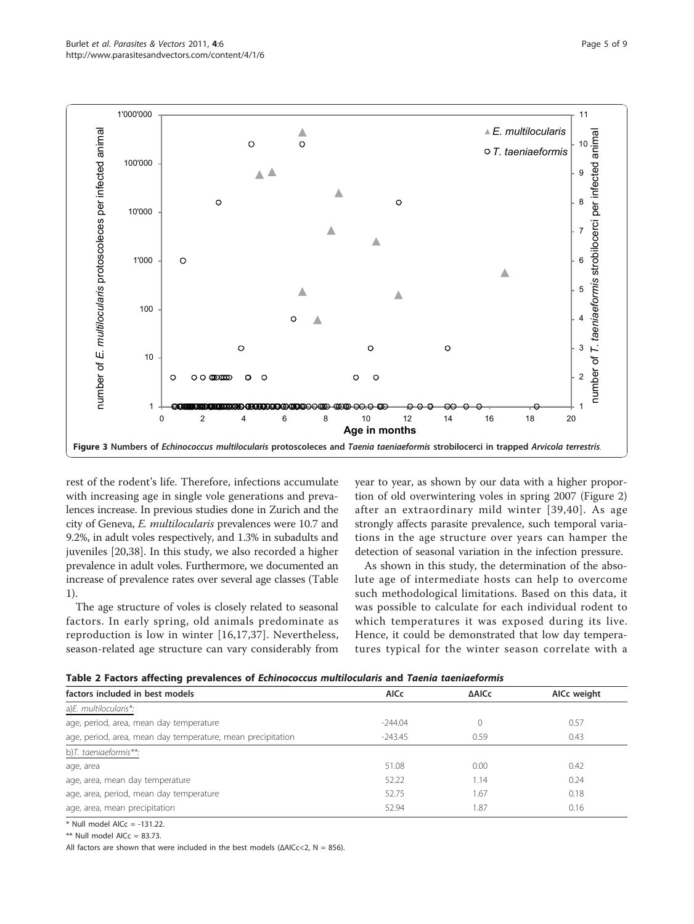<span id="page-4-0"></span>

rest of the rodent's life. Therefore, infections accumulate with increasing age in single vole generations and prevalences increase. In previous studies done in Zurich and the city of Geneva, E. multilocularis prevalences were 10.7 and 9.2%, in adult voles respectively, and 1.3% in subadults and juveniles [\[20](#page-7-0)[,38](#page-8-0)]. In this study, we also recorded a higher prevalence in adult voles. Furthermore, we documented an increase of prevalence rates over several age classes (Table [1](#page-3-0)).

The age structure of voles is closely related to seasonal factors. In early spring, old animals predominate as reproduction is low in winter [\[16](#page-7-0),[17,](#page-7-0)[37](#page-8-0)]. Nevertheless, season-related age structure can vary considerably from year to year, as shown by our data with a higher proportion of old overwintering voles in spring 2007 (Figure [2](#page-3-0)) after an extraordinary mild winter [[39,40](#page-8-0)]. As age strongly affects parasite prevalence, such temporal variations in the age structure over years can hamper the detection of seasonal variation in the infection pressure.

As shown in this study, the determination of the absolute age of intermediate hosts can help to overcome such methodological limitations. Based on this data, it was possible to calculate for each individual rodent to which temperatures it was exposed during its live. Hence, it could be demonstrated that low day temperatures typical for the winter season correlate with a

| Table 2 Factors affecting prevalences of Echinococcus multilocularis and Taenia taeniaeformis |  |
|-----------------------------------------------------------------------------------------------|--|
|-----------------------------------------------------------------------------------------------|--|

| factors included in best models                             | <b>AICc</b> | <b>AAICc</b> | AICc weight |  |  |  |  |  |  |
|-------------------------------------------------------------|-------------|--------------|-------------|--|--|--|--|--|--|
| a)E. multilocularis*:                                       |             |              |             |  |  |  |  |  |  |
| age, period, area, mean day temperature                     | $-244.04$   |              | 0.57        |  |  |  |  |  |  |
| age, period, area, mean day temperature, mean precipitation | $-243.45$   | 0.59         | 0.43        |  |  |  |  |  |  |
| b)T. taeniaeformis**:                                       |             |              |             |  |  |  |  |  |  |
| age, area                                                   | 51.08       | 0.00         | 0.42        |  |  |  |  |  |  |
| age, area, mean day temperature                             | 52.22       | 1.14         | 0.24        |  |  |  |  |  |  |
| age, area, period, mean day temperature                     | 52.75       | 1.67         | 0.18        |  |  |  |  |  |  |
| age, area, mean precipitation                               | 52.94       | 1.87         | 0.16        |  |  |  |  |  |  |
|                                                             |             |              |             |  |  |  |  |  |  |

 $*$  Null model AICc = -131.22.

 $**$  Null model AICc = 83.73.

All factors are shown that were included in the best models ( $\triangle$ AICc<2, N = 856).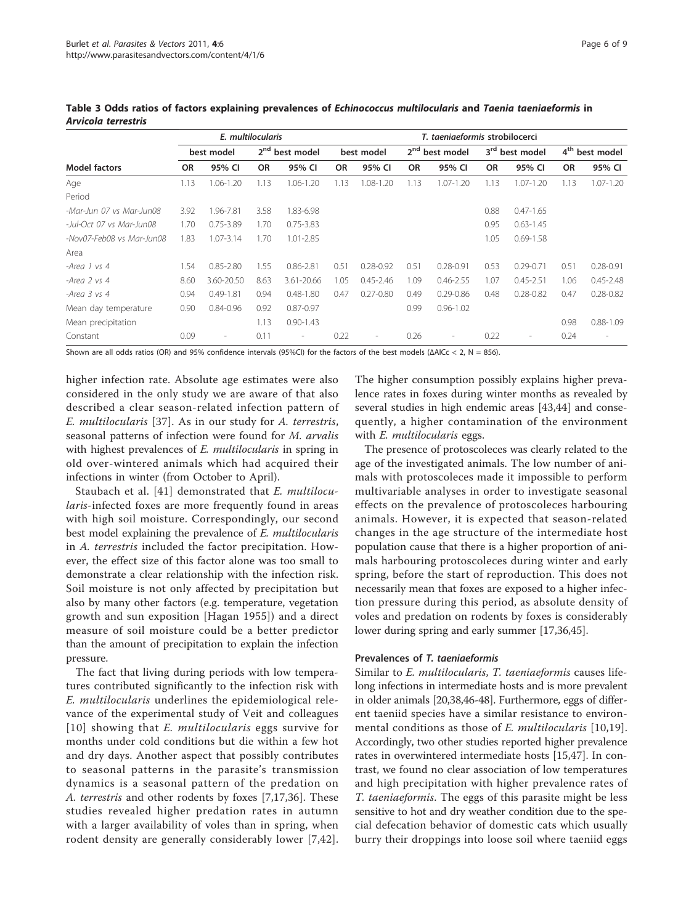|                           | E. multilocularis |                          |           |                            | T. taeniaeformis strobilocerci |                          |           |                            |           |                            |           |                            |
|---------------------------|-------------------|--------------------------|-----------|----------------------------|--------------------------------|--------------------------|-----------|----------------------------|-----------|----------------------------|-----------|----------------------------|
|                           |                   | best model               |           | 2 <sup>nd</sup> best model |                                | best model               |           | 2 <sup>nd</sup> best model |           | 3 <sup>rd</sup> best model |           | 4 <sup>th</sup> best model |
| <b>Model factors</b>      | <b>OR</b>         | 95% CI                   | <b>OR</b> | 95% CI                     | <b>OR</b>                      | 95% CI                   | <b>OR</b> | 95% CI                     | <b>OR</b> | 95% CI                     | <b>OR</b> | 95% CI                     |
| Age                       | 1.13              | 1.06-1.20                | 1.13      | 1.06-1.20                  | 1.13                           | 1.08-1.20                | 1.13      | 1.07-1.20                  | 1.13      | $1.07 - 1.20$              | 1.13      | $1.07 - 1.20$              |
| Period                    |                   |                          |           |                            |                                |                          |           |                            |           |                            |           |                            |
| -Mar-Jun 07 vs Mar-Jun08  | 3.92              | 1.96-7.81                | 3.58      | 1.83-6.98                  |                                |                          |           |                            | 0.88      | $0.47 - 1.65$              |           |                            |
| -Jul-Oct 07 vs Mar-Jun08  | 1.70              | $0.75 - 3.89$            | 1.70      | $0.75 - 3.83$              |                                |                          |           |                            | 0.95      | $0.63 - 1.45$              |           |                            |
| -Nov07-Feb08 vs Mar-Jun08 | 1.83              | $1.07 - 3.14$            | 1.70      | 1.01-2.85                  |                                |                          |           |                            | 1.05      | $0.69 - 1.58$              |           |                            |
| Area                      |                   |                          |           |                            |                                |                          |           |                            |           |                            |           |                            |
| -Area 1 vs 4              | 1.54              | $0.85 - 2.80$            | 1.55      | $0.86 - 2.81$              | 0.51                           | $0.28 - 0.92$            | 0.51      | $0.28 - 0.91$              | 0.53      | $0.29 - 0.71$              | 0.51      | $0.28 - 0.91$              |
| -Area 2 vs 4              | 8.60              | 3.60-20.50               | 8.63      | 3.61-20.66                 | 1.05                           | $0.45 - 2.46$            | 1.09      | $0.46 - 2.55$              | 1.07      | $0.45 - 2.51$              | 1.06      | $0.45 - 2.48$              |
| $-Area$ $3$ $vs$ $4$      | 0.94              | $0.49 - 1.81$            | 0.94      | $0.48 - 1.80$              | 0.47                           | $0.27 - 0.80$            | 0.49      | $0.29 - 0.86$              | 0.48      | $0.28 - 0.82$              | 0.47      | $0.28 - 0.82$              |
| Mean day temperature      | 0.90              | $0.84 - 0.96$            | 0.92      | $0.87 - 0.97$              |                                |                          | 0.99      | $0.96 - 1.02$              |           |                            |           |                            |
| Mean precipitation        |                   |                          | 1.13      | $0.90 - 1.43$              |                                |                          |           |                            |           |                            | 0.98      | $0.88 - 1.09$              |
| Constant                  | 0.09              | $\overline{\phantom{a}}$ | 0.11      | $\overline{\phantom{a}}$   | 0.22                           | $\overline{\phantom{a}}$ | 0.26      | $\overline{\phantom{a}}$   | 0.22      | $\overline{\phantom{a}}$   | 0.24      | $\overline{a}$             |

<span id="page-5-0"></span>Table 3 Odds ratios of factors explaining prevalences of Echinococcus multilocularis and Taenia taeniaeformis in Arvicola terrestris

Shown are all odds ratios (OR) and 95% confidence intervals (95%CI) for the factors of the best models (ΔAICc < 2, N = 856).

higher infection rate. Absolute age estimates were also considered in the only study we are aware of that also described a clear season-related infection pattern of E. multilocularis [[37](#page-8-0)]. As in our study for A. terrestris, seasonal patterns of infection were found for M. arvalis with highest prevalences of *E. multilocularis* in spring in old over-wintered animals which had acquired their infections in winter (from October to April).

Staubach et al. [[41](#page-8-0)] demonstrated that *E. multilocu*laris-infected foxes are more frequently found in areas with high soil moisture. Correspondingly, our second best model explaining the prevalence of E. multilocularis in A. terrestris included the factor precipitation. However, the effect size of this factor alone was too small to demonstrate a clear relationship with the infection risk. Soil moisture is not only affected by precipitation but also by many other factors (e.g. temperature, vegetation growth and sun exposition [Hagan 1955]) and a direct measure of soil moisture could be a better predictor than the amount of precipitation to explain the infection pressure.

The fact that living during periods with low temperatures contributed significantly to the infection risk with E. multilocularis underlines the epidemiological relevance of the experimental study of Veit and colleagues [[10\]](#page-7-0) showing that *E. multilocularis* eggs survive for months under cold conditions but die within a few hot and dry days. Another aspect that possibly contributes to seasonal patterns in the parasite's transmission dynamics is a seasonal pattern of the predation on A. terrestris and other rodents by foxes [[7,17,](#page-7-0)[36](#page-8-0)]. These studies revealed higher predation rates in autumn with a larger availability of voles than in spring, when rodent density are generally considerably lower [\[7,](#page-7-0)[42](#page-8-0)].

The higher consumption possibly explains higher prevalence rates in foxes during winter months as revealed by several studies in high endemic areas [\[43,44\]](#page-8-0) and consequently, a higher contamination of the environment with *E. multilocularis* eggs.

The presence of protoscoleces was clearly related to the age of the investigated animals. The low number of animals with protoscoleces made it impossible to perform multivariable analyses in order to investigate seasonal effects on the prevalence of protoscoleces harbouring animals. However, it is expected that season-related changes in the age structure of the intermediate host population cause that there is a higher proportion of animals harbouring protoscoleces during winter and early spring, before the start of reproduction. This does not necessarily mean that foxes are exposed to a higher infection pressure during this period, as absolute density of voles and predation on rodents by foxes is considerably lower during spring and early summer [\[17](#page-7-0)[,36,45\]](#page-8-0).

#### Prevalences of T. taeniaeformis

Similar to E. multilocularis, T. taeniaeformis causes lifelong infections in intermediate hosts and is more prevalent in older animals [[20](#page-7-0)[,38,46-48](#page-8-0)]. Furthermore, eggs of different taeniid species have a similar resistance to environmental conditions as those of E. multilocularis [\[10,19](#page-7-0)]. Accordingly, two other studies reported higher prevalence rates in overwintered intermediate hosts [[15,](#page-7-0)[47\]](#page-8-0). In contrast, we found no clear association of low temperatures and high precipitation with higher prevalence rates of T. taeniaeformis. The eggs of this parasite might be less sensitive to hot and dry weather condition due to the special defecation behavior of domestic cats which usually burry their droppings into loose soil where taeniid eggs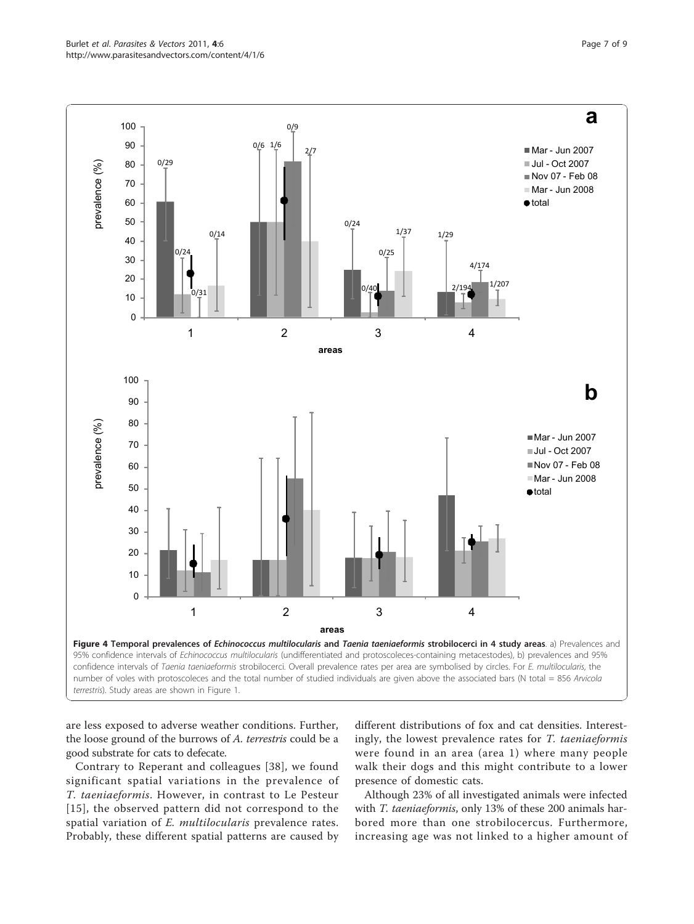<span id="page-6-0"></span>

are less exposed to adverse weather conditions. Further, the loose ground of the burrows of A. terrestris could be a good substrate for cats to defecate.

Contrary to Reperant and colleagues [[38](#page-8-0)], we found significant spatial variations in the prevalence of T. taeniaeformis. However, in contrast to Le Pesteur [[15\]](#page-7-0), the observed pattern did not correspond to the spatial variation of E. multilocularis prevalence rates. Probably, these different spatial patterns are caused by

different distributions of fox and cat densities. Interestingly, the lowest prevalence rates for T. taeniaeformis were found in an area (area 1) where many people walk their dogs and this might contribute to a lower presence of domestic cats.

Although 23% of all investigated animals were infected with T. taeniaeformis, only 13% of these 200 animals harbored more than one strobilocercus. Furthermore, increasing age was not linked to a higher amount of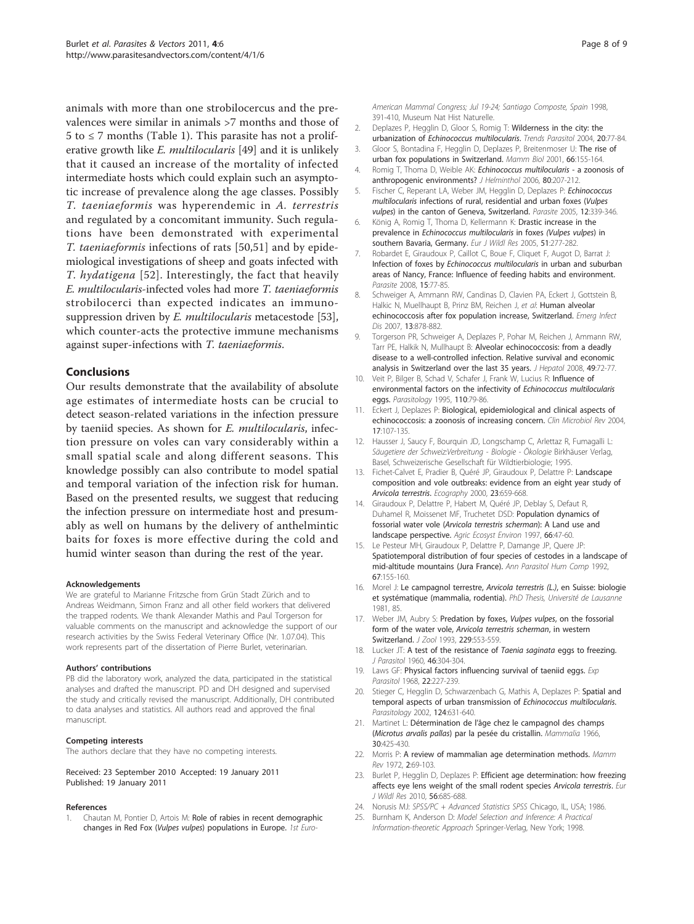<span id="page-7-0"></span>animals with more than one strobilocercus and the prevalences were similar in animals >7 months and those of  $5$  to  $\leq$  7 months (Table [1\)](#page-3-0). This parasite has not a proliferative growth like *E. multilocularis* [[49](#page-8-0)] and it is unlikely that it caused an increase of the mortality of infected intermediate hosts which could explain such an asymptotic increase of prevalence along the age classes. Possibly T. taeniaeformis was hyperendemic in A. terrestris and regulated by a concomitant immunity. Such regulations have been demonstrated with experimental T. taeniaeformis infections of rats [[50,51](#page-8-0)] and by epidemiological investigations of sheep and goats infected with T. hydatigena [\[52\]](#page-8-0). Interestingly, the fact that heavily E. multilocularis-infected voles had more T. taeniaeformis strobilocerci than expected indicates an immunosuppression driven by E. *multilocularis* metacestode [\[53](#page-8-0)], which counter-acts the protective immune mechanisms against super-infections with T. taeniaeformis.

# Conclusions

Our results demonstrate that the availability of absolute age estimates of intermediate hosts can be crucial to detect season-related variations in the infection pressure by taeniid species. As shown for E. multilocularis, infection pressure on voles can vary considerably within a small spatial scale and along different seasons. This knowledge possibly can also contribute to model spatial and temporal variation of the infection risk for human. Based on the presented results, we suggest that reducing the infection pressure on intermediate host and presumably as well on humans by the delivery of anthelmintic baits for foxes is more effective during the cold and humid winter season than during the rest of the year.

#### Acknowledgements

We are grateful to Marianne Fritzsche from Grün Stadt Zürich and to Andreas Weidmann, Simon Franz and all other field workers that delivered the trapped rodents. We thank Alexander Mathis and Paul Torgerson for valuable comments on the manuscript and acknowledge the support of our research activities by the Swiss Federal Veterinary Office (Nr. 1.07.04). This work represents part of the dissertation of Pierre Burlet, veterinarian.

#### Authors' contributions

PB did the laboratory work, analyzed the data, participated in the statistical analyses and drafted the manuscript. PD and DH designed and supervised the study and critically revised the manuscript. Additionally, DH contributed to data analyses and statistics. All authors read and approved the final manuscript.

#### Competing interests

The authors declare that they have no competing interests.

#### Received: 23 September 2010 Accepted: 19 January 2011 Published: 19 January 2011

#### References

Chautan M, Pontier D, Artois M: Role of rabies in recent demographic changes in Red Fox (Vulpes vulpes) populations in Europe. 1st EuroAmerican Mammal Conaress: Jul 19-24; Santiago Composte, Spain 1998, 391-410, Museum Nat Hist Naturelle.

- 2. Deplazes P, Hegglin D, Gloor S, Romig T: [Wilderness in the city: the](http://www.ncbi.nlm.nih.gov/pubmed/14747021?dopt=Abstract) urbanization of [Echinococcus multilocularis](http://www.ncbi.nlm.nih.gov/pubmed/14747021?dopt=Abstract). Trends Parasitol 2004, 20:77-84.
- 3. Gloor S, Bontadina F, Hegglin D, Deplazes P, Breitenmoser U: The rise of urban fox populations in Switzerland. Mamm Biol 2001, 66:155-164.
- 4. Romig T, Thoma D, Weible AK: [Echinococcus multilocularis](http://www.ncbi.nlm.nih.gov/pubmed/16768864?dopt=Abstract) a zoonosis of [anthropogenic environments?](http://www.ncbi.nlm.nih.gov/pubmed/16768864?dopt=Abstract) J Helminthol 2006, 80:207-212.
- 5. Fischer C, Reperant LA, Weber JM, Hegglin D, Deplazes P: [Echinococcus](http://www.ncbi.nlm.nih.gov/pubmed/16402566?dopt=Abstract) multilocularis [infections of rural, residential and urban foxes \(](http://www.ncbi.nlm.nih.gov/pubmed/16402566?dopt=Abstract)Vulpes vulpes[\) in the canton of Geneva, Switzerland.](http://www.ncbi.nlm.nih.gov/pubmed/16402566?dopt=Abstract) Parasite 2005, 12:339-346.
- 6. König A, Romig T, Thoma D, Kellermann K: Drastic increase in the prevalence in Echinococcus multilocularis in foxes (Vulpes vulpes) in southern Bavaria, Germany. Eur J Wildl Res 2005, 51:277-282.
- 7. Robardet E, Giraudoux P, Caillot C, Boue F, Cliquet F, Augot D, Barrat J: Infection of foxes by [Echinococcus multilocularis](http://www.ncbi.nlm.nih.gov/pubmed/18416250?dopt=Abstract) in urban and suburban [areas of Nancy, France: Influence of feeding habits and environment.](http://www.ncbi.nlm.nih.gov/pubmed/18416250?dopt=Abstract) Parasite 2008, 15:77-85.
- 8. Schweiger A, Ammann RW, Candinas D, Clavien PA, Eckert J, Gottstein B, Halkic N, Muellhaupt B, Prinz BM, Reichen J, et al: [Human alveolar](http://www.ncbi.nlm.nih.gov/pubmed/17553227?dopt=Abstract) [echinococcosis after fox population increase, Switzerland.](http://www.ncbi.nlm.nih.gov/pubmed/17553227?dopt=Abstract) Emerg Infect Dis 2007, 13:878-882.
- 9. Torgerson PR, Schweiger A, Deplazes P, Pohar M, Reichen J, Ammann RW, Tarr PE, Halkik N, Mullhaupt B: [Alveolar echinococcosis: from a deadly](http://www.ncbi.nlm.nih.gov/pubmed/18485517?dopt=Abstract) [disease to a well-controlled infection. Relative survival and economic](http://www.ncbi.nlm.nih.gov/pubmed/18485517?dopt=Abstract) [analysis in Switzerland over the last 35 years.](http://www.ncbi.nlm.nih.gov/pubmed/18485517?dopt=Abstract) J Hepatol 2008, 49:72-77.
- 10. Veit P, Bilger B, Schad V, Schafer J, Frank W, Lucius R: [Influence of](http://www.ncbi.nlm.nih.gov/pubmed/7845716?dopt=Abstract) [environmental factors on the infectivity of](http://www.ncbi.nlm.nih.gov/pubmed/7845716?dopt=Abstract) Echinococcus multilocularis [eggs.](http://www.ncbi.nlm.nih.gov/pubmed/7845716?dopt=Abstract) Parasitology 1995, 110:79-86.
- 11. Eckert J, Deplazes P: [Biological, epidemiological and clinical aspects of](http://www.ncbi.nlm.nih.gov/pubmed/14726458?dopt=Abstract) [echinococcosis: a zoonosis of increasing concern.](http://www.ncbi.nlm.nih.gov/pubmed/14726458?dopt=Abstract) Clin Microbiol Rev 2004, 17:107-135.
- 12. Hausser J, Saucy F, Bourquin JD, Longschamp C, Arlettaz R, Fumagalli L: Säugetiere der Schweiz:Verbreitung - Biologie - Ökologie Birkhäuser Verlag, Basel, Schweizerische Gesellschaft für Wildtierbiologie; 1995.
- 13. Fichet-Calvet E, Pradier B, Quéré JP, Giraudoux P, Delattre P: Landscape composition and vole outbreaks: evidence from an eight year study of Arvicola terrestris. Ecography 2000, 23:659-668.
- 14. Giraudoux P, Delattre P, Habert M, Quéré JP, Deblay S, Defaut R, Duhamel R, Moissenet MF, Truchetet DSD: Population dynamics of fossorial water vole (Arvicola terrestris scherman): A Land use and landscape perspective. Agric Ecosyst Environ 1997, 66:47-60.
- 15. Le Pesteur MH, Giraudoux P, Delattre P, Damange JP, Quere JP: Spatiotemporal distribution of four species of cestodes in a landscape of mid-altitude mountains (Jura France). Ann Parasitol Hum Comp 1992, 67:155-160.
- 16. Morel J: Le campagnol terrestre, Arvicola terrestris (L.), en Suisse: biologie et systématique (mammalia, rodentia). PhD Thesis, Université de Lausanne 1981, 85.
- 17. Weber JM, Aubry S: Predation by foxes, Vulpes vulpes, on the fossorial form of the water vole, Arvicola terrestris scherman, in western Switzerland. *J Zool* 1993, 229:553-559.
- 18. Lucker JT: A test of the resistance of Taenia saginata eggs to freezing. J Parasitol 1960, 46:304-304.
- 19. Laws GF: [Physical factors influencing survival of taeniid eggs.](http://www.ncbi.nlm.nih.gov/pubmed/5652500?dopt=Abstract) Exp Parasitol 1968, 22:227-239.
- 20. Stieger C, Hegglin D, Schwarzenbach G, Mathis A, Deplazes P: [Spatial and](http://www.ncbi.nlm.nih.gov/pubmed/12118719?dopt=Abstract) [temporal aspects of urban transmission of](http://www.ncbi.nlm.nih.gov/pubmed/12118719?dopt=Abstract) Echinococcus multilocularis. Parasitology 2002, 124:631-640.
- 21. Martinet L: Détermination de l'âge chez le campagnol des champs (Microtus arvalis pallas) par la pesée du cristallin. Mammalia 1966, 30:425-430.
- 22. Morris P: A review of mammalian age determination methods. Mamm Rev 1972, 2:69-103.
- 23. Burlet P, Hegglin D, Deplazes P: Efficient age determination: how freezing affects eye lens weight of the small rodent species Arvicola terrestris. Eur J Wildl Res 2010, 56:685-688.
- 24. Norusis MJ: SPSS/PC + Advanced Statistics SPSS Chicago, IL, USA; 1986.
- 25. Burnham K, Anderson D: Model Selection and Inference: A Practical Information-theoretic Approach Springer-Verlag, New York; 1998.